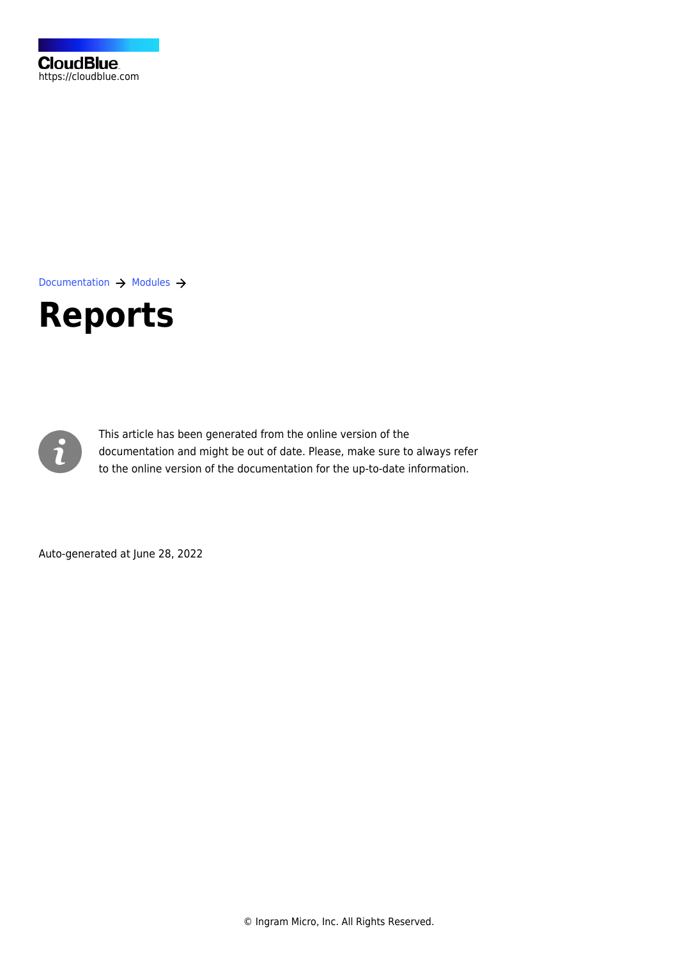[Documentation](https://connect.cloudblue.com/documentation)  $\rightarrow$  [Modules](https://connect.cloudblue.com/community/modules/)  $\rightarrow$ 

# **[Reports](https://connect.cloudblue.com/community/modules/reports/)**



This article has been generated from the online version of the documentation and might be out of date. Please, make sure to always refer to the online version of the documentation for the up-to-date information.

Auto-generated at June 28, 2022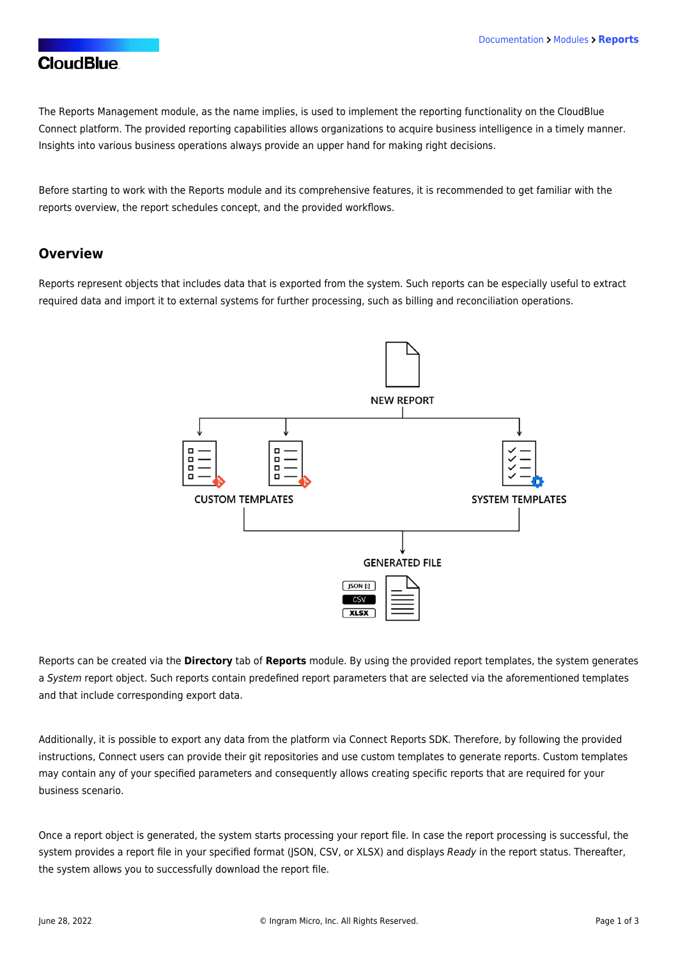#### **CloudBlue**

The Reports Management module, as the name implies, is used to implement the reporting functionality on the CloudBlue Connect platform. The provided reporting capabilities allows organizations to acquire business intelligence in a timely manner. Insights into various business operations always provide an upper hand for making right decisions.

Before starting to work with the Reports module and its comprehensive features, it is recommended to get familiar with the reports overview, the report schedules concept, and the provided workflows.

#### **Overview**

Reports represent objects that includes data that is exported from the system. Such reports can be especially useful to extract required data and import it to external systems for further processing, such as billing and reconciliation operations.



Reports can be created via the **Directory** tab of **Reports** module. By using the provided report templates, the system generates a System report object. Such reports contain predefined report parameters that are selected via the aforementioned templates and that include corresponding export data.

Additionally, it is possible to export any data from the platform via [Connect Reports SDK.](https://connect.cloudblue.com/community/sdk/connect-reports-sdk/) Therefore, by following the provided instructions, Connect users can provide their git repositories and use custom templates to generate reports. Custom templates may contain any of your specified parameters and consequently allows creating specific reports that are required for your business scenario.

Once a report object is generated, the system starts processing your report file. In case the report processing is successful, the system provides a report file in your specified format (JSON, CSV, or XLSX) and displays Ready in the report status. Thereafter, the system allows you to successfully download the report file.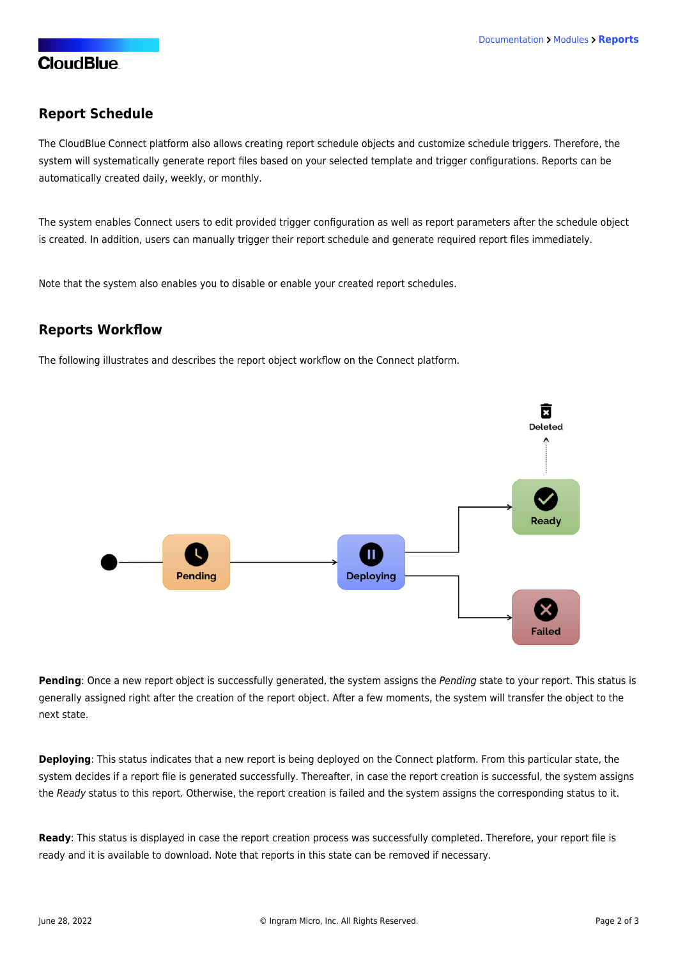### **CloudBlue**

#### **Report Schedule**

The CloudBlue Connect platform also allows creating report schedule objects and customize schedule triggers. Therefore, the system will systematically generate report files based on your selected template and trigger configurations. Reports can be automatically created daily, weekly, or monthly.

The system enables Connect users to edit provided trigger configuration as well as report parameters after the schedule object is created. In addition, users can manually trigger their report schedule and generate required report files immediately.

Note that the system also enables you to disable or enable your created report schedules.

#### **Reports Workflow**

The following illustrates and describes the report object workflow on the Connect platform.



**Pending**: Once a new report object is successfully generated, the system assigns the Pending state to your report. This status is generally assigned right after the creation of the report object. After a few moments, the system will transfer the object to the next state.

**Deploying**: This status indicates that a new report is being deployed on the Connect platform. From this particular state, the system decides if a report file is generated successfully. Thereafter, in case the report creation is successful, the system assigns the Ready status to this report. Otherwise, the report creation is failed and the system assigns the corresponding status to it.

**Ready**: This status is displayed in case the report creation process was successfully completed. Therefore, your report file is ready and it is available to download. Note that reports in this state can be removed if necessary.